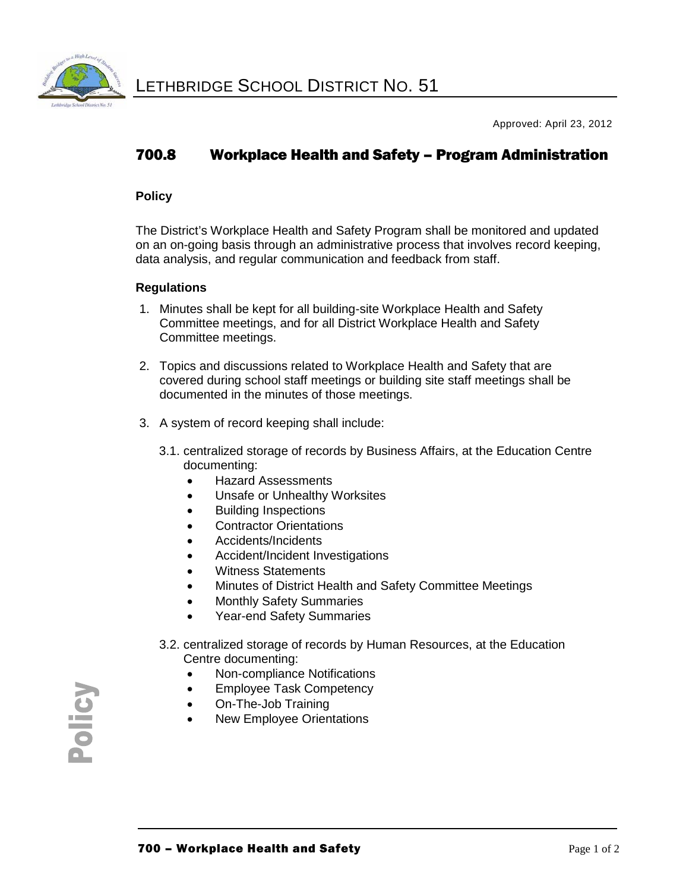

Approved: April 23, 2012

# 700.8 Workplace Health and Safety – Program Administration

### **Policy**

The District's Workplace Health and Safety Program shall be monitored and updated on an on-going basis through an administrative process that involves record keeping, data analysis, and regular communication and feedback from staff.

### **Regulations**

- 1. Minutes shall be kept for all building-site Workplace Health and Safety Committee meetings, and for all District Workplace Health and Safety Committee meetings.
- 2. Topics and discussions related to Workplace Health and Safety that are covered during school staff meetings or building site staff meetings shall be documented in the minutes of those meetings.
- 3. A system of record keeping shall include:
	- 3.1. centralized storage of records by Business Affairs, at the Education Centre documenting:
		- Hazard Assessments
		- Unsafe or Unhealthy Worksites
		- Building Inspections
		- **Contractor Orientations**
		- Accidents/Incidents
		- Accident/Incident Investigations
		- Witness Statements
		- Minutes of District Health and Safety Committee Meetings
		- Monthly Safety Summaries
		- Year-end Safety Summaries
	- 3.2. centralized storage of records by Human Resources, at the Education Centre documenting:
		- Non-compliance Notifications
		- Employee Task Competency
		- On-The-Job Training
		- New Employee Orientations